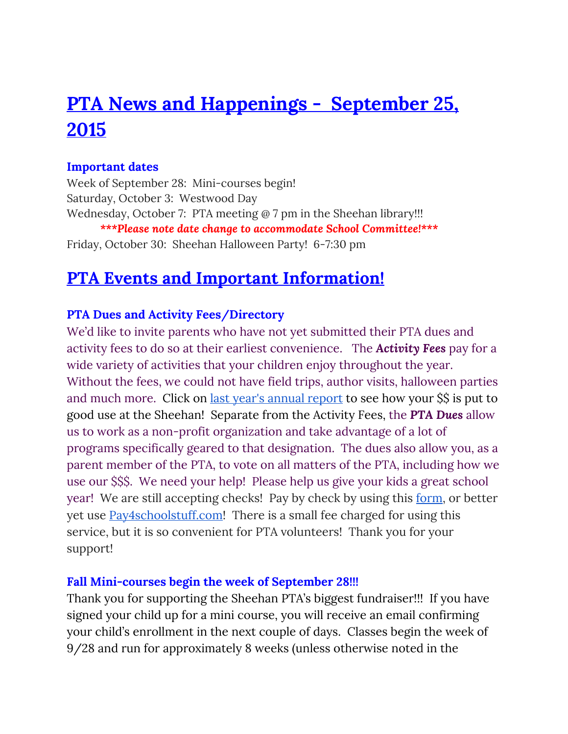# **PTA News and Happenings - September 25, 2015**

#### **Important dates**

Week of September 28: Mini-courses begin! Saturday, October 3: Westwood Day Wednesday, October 7: PTA meeting @ 7 pm in the Sheehan library!!! *\*\*\*Please note date change to accommodate School Committee!\*\*\** Friday, October 30: Sheehan Halloween Party! 6-7:30 pm

# **PTA Events and Important Information!**

#### **PTA Dues and Activity Fees/Directory**

We'd like to invite parents who have not yet submitted their PTA dues and activity fees to do so at their earliest convenience. The *Activity Fees*pay for a wide variety of activities that your children enjoy throughout the year. Without the fees, we could not have field trips, author visits, halloween parties and much more. Click on <u>last year's [annual](https://docs.google.com/viewer?a=v&pid=sites&srcid=ZGVmYXVsdGRvbWFpbnxwdGFzaGVlaGFufGd4OjIzOTMzZWYwOTVmYzNjM2E) report</u> to see how your \$\$ is put to good use at the Sheehan! Separate from the Activity Fees, the *PTA Dues* allow us to work as a non-profit organization and take advantage of a lot of programs specifically geared to that designation. The dues also allow you, as a parent member of the PTA, to vote on all matters of the PTA, including how we use our \$\$\$. We need your help! Please help us give your kids a great school year! We are still accepting checks! Pay by check by using this [form,](https://docs.google.com/viewer?a=v&pid=sites&srcid=ZGVmYXVsdGRvbWFpbnxwdGFzaGVlaGFufGd4OjY5NjRiNzA2N2MwN2JhMDk) or better yet use **[Pay4schoolstuff.com!](http://pay4schoolstuff.com/)** There is a small fee charged for using this service, but it is so convenient for PTA volunteers! Thank you for your support!

#### **Fall Mini-courses begin the week of September 28!!!**

Thank you for supporting the Sheehan PTA's biggest fundraiser!!! If you have signed your child up for a mini course, you will receive an email confirming your child's enrollment in the next couple of days. Classes begin the week of 9/28 and run for approximately 8 weeks (unless otherwise noted in the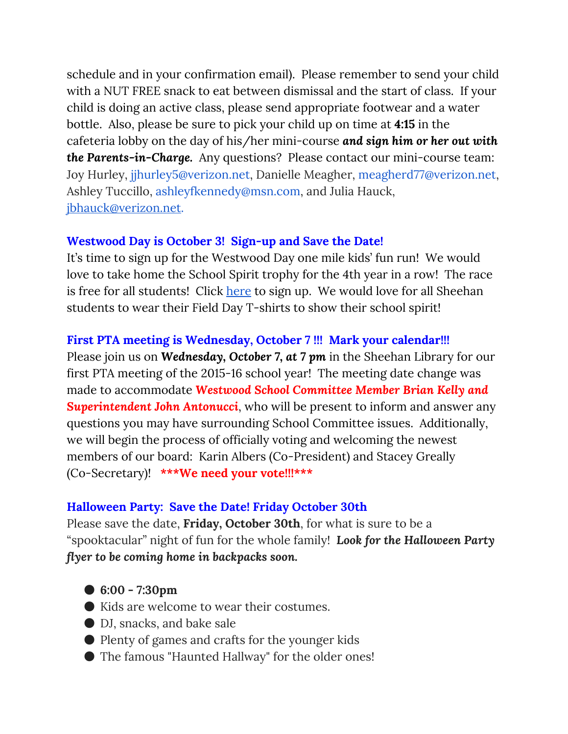schedule and in your confirmation email). Please remember to send your child with a NUT FREE snack to eat between dismissal and the start of class. If your child is doing an active class, please send appropriate footwear and a water bottle. Also, please be sure to pick your child up on time at **4:15**in the cafeteria lobby on the day of his/her mini-course *and sign him or her out with the Parents-in-Charge.*Any questions? Please contact our mini-course team: Joy Hurley, jjhurley5@verizon.net, Danielle Meagher, meagherd77@verizon.net, Ashley Tuccillo, ashleyfkennedy@msn.com, and Julia Hauck, [jbhauck@verizon.net.](mailto:jbhauck@verizon.net)

#### **Westwood Day is October 3! Sign-up and Save the Date!**

It's time to sign up for the Westwood Day one mile kids' fun run! We would love to take home the School Spirit trophy for the 4th year in a row! The race is free for all students! Click [here](http://www.active.com/westwood-ma/running/distance-running-races/westwood-day-5k-and-1-mile-fun-run-2015?int=) to sign up. We would love for all Sheehan students to wear their Field Day T-shirts to show their school spirit!

#### **First PTA meeting is Wednesday, October 7 !!! Mark your calendar!!!**

Please join us on *Wednesday, October 7, at 7 pm*in the Sheehan Library for our first PTA meeting of the 2015-16 school year! The meeting date change was made to accommodate *Westwood School Committee Member Brian Kelly and Superintendent John Antonucci*, who will be present to inform and answer any questions you may have surrounding School Committee issues. Additionally, we will begin the process of officially voting and welcoming the newest members of our board: Karin Albers (Co-President) and Stacey Greally (Co-Secretary)! **\*\*\*We need your vote!!!\*\*\***

#### **Halloween Party: Save the Date! Friday October 30th**

Please save the date, **Friday, October 30th**, for what is sure to be a "spooktacular" night of fun for the whole family! *Look for the Halloween Party flyer to be coming home in backpacks soon.*

- **6:00 - 7:30pm**
- Kids are welcome to wear their costumes.
- DJ, snacks, and bake sale
- Plenty of games and crafts for the younger kids
- The famous "Haunted Hallway" for the older ones!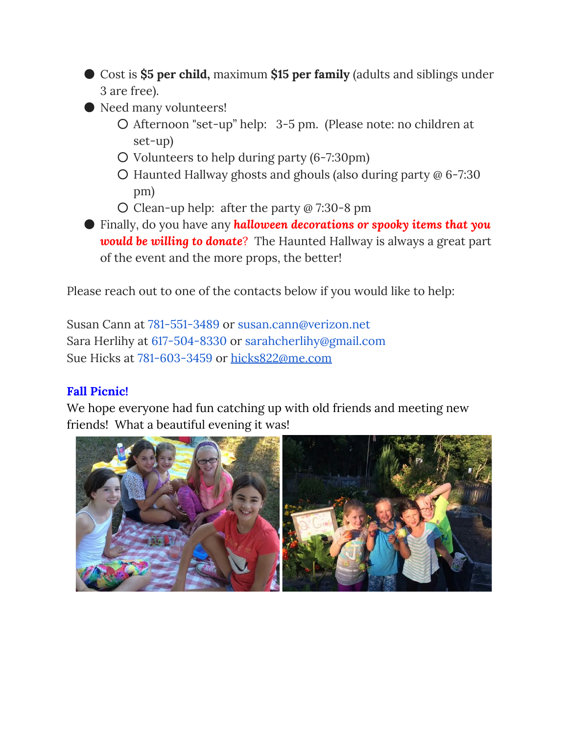- Cost is **\$5 per child,**maximum **\$15 per family**(adults and siblings under 3 are free).
- Need many volunteers!
	- Afternoon "set-up" help: 3-5 pm. (Please note: no children at set-up)
	- Volunteers to help during party (6-7:30pm)
	- Haunted Hallway ghosts and ghouls (also during party @ 6-7:30 pm)
	- Clean-up help: after the party @ 7:30-8 pm

● Finally, do you have any *halloween decorations or spooky items that you would be willing to donate*? The Haunted Hallway is always a great part of the event and the more props, the better!

Please reach out to one of the contacts below if you would like to help:

Susan Cann at 781-551-3489 or susan.cann@verizon.net Sara Herlihy at 617-504-8330 or sarahcherlihy@gmail.com Sue Hicks at 781-603-3459 or [hicks822@me.com](mailto:hicks822@me.com)

### **Fall Picnic!**

We hope everyone had fun catching up with old friends and meeting new friends! What a beautiful evening it was!

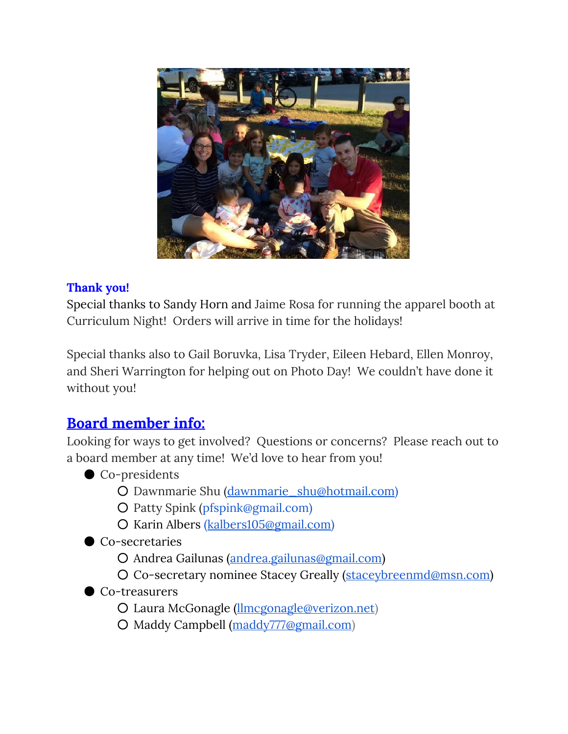

#### **Thank you!**

Special thanks to Sandy Horn and Jaime Rosa for running the apparel booth at Curriculum Night! Orders will arrive in time for the holidays!

Special thanks also to Gail Boruvka, Lisa Tryder, Eileen Hebard, Ellen Monroy, and Sheri Warrington for helping out on Photo Day! We couldn't have done it without you!

# **Board member info:**

Looking for ways to get involved? Questions or concerns? Please reach out to a board member at any time! We'd love to hear from you!

- Co-presidents
	- Dawnmarie Shu [\(dawnmarie\\_shu@hotmail.com\)](mailto:dawnmarie_shu@hotmail.com)
	- Patty Spink [\(pfspink@gmail.com\)](mailto:pfspink@gmail.com)
	- Karin Albers ([kalbers105@gmail.com\)](mailto:kalbers105@gmail.com)

● Co-secretaries

- Andrea Gailunas [\(andrea.gailunas@gmail.com\)](mailto:andrea.gailunas@gmail.com)
- O Co-secretary nominee Stacey Greally [\(staceybreenmd@msn.com\)](mailto:staceybreenmd@msn.com)
- Co-treasurers
	- Laura McGonagle [\(llmcgonagle@verizon.net](mailto:llmcgonagle@verizon.net))
	- Maddy Campbell [\(maddy777@gmail.com\)](mailto:maddy777@gmail.com)